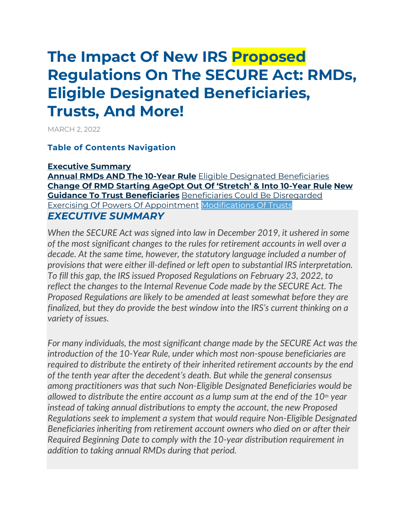# **The Impact Of New IRS Proposed Regulations On The SECURE Act: RMDs, Eligible Designated Beneficiaries, Trusts, And More!**

MARCH 2, 2022

#### **[Table of Contents Navigation](https://www.kitces.com/blog/irs-proposed-regulations-secure-act-rmds-eligible-designated-beneficiaries-see-through-trusts/)**

#### **[Executive Summary](https://www.kitces.com/blog/irs-proposed-regulations-secure-act-rmds-eligible-designated-beneficiaries-see-through-trusts/#executive-summary)**

**[Annual RMDs AND The 10-Year Rule](https://www.kitces.com/blog/irs-proposed-regulations-secure-act-rmds-eligible-designated-beneficiaries-see-through-trusts/#some-noneligible-designated-beneficiaries-would-be-subject-to-both-annual-rmds-and-the-10year-rule)** [Eligible Designated](https://www.kitces.com/blog/irs-proposed-regulations-secure-act-rmds-eligible-designated-beneficiaries-see-through-trusts/#clarifications-around-the-definition-of-eligible-designated-beneficiaries) Beneficiaries **[Change Of RMD Starting Age](https://www.kitces.com/blog/irs-proposed-regulations-secure-act-rmds-eligible-designated-beneficiaries-see-through-trusts/#proposed-regulations-would-clarify-application-of-change-of-rmd-starting-age-to-surviving-spouse-beneficiaries)[Opt Out Of 'Stretch' & Into 10](https://www.kitces.com/blog/irs-proposed-regulations-secure-act-rmds-eligible-designated-beneficiaries-see-through-trusts/#eligible-designated-beneficiaries-can-opt-out-of-stretch-and-into-10year-rule-but-custodians-can-limit-options)-Year Rule [New](https://www.kitces.com/blog/irs-proposed-regulations-secure-act-rmds-eligible-designated-beneficiaries-see-through-trusts/#proposed-regulations-would-provide-significant-new-guidance-to-trust-beneficiaries-of-retirement-accounts)  [Guidance To Trust Beneficiaries](https://www.kitces.com/blog/irs-proposed-regulations-secure-act-rmds-eligible-designated-beneficiaries-see-through-trusts/#proposed-regulations-would-provide-significant-new-guidance-to-trust-beneficiaries-of-retirement-accounts)** [Beneficiaries Could Be Disregarded](https://www.kitces.com/blog/irs-proposed-regulations-secure-act-rmds-eligible-designated-beneficiaries-see-through-trusts/#certain-trust-beneficiaries-can-be-disregarded-when-determining-the-postdeath-payout-period) [Exercising Of Powers Of Appointment](https://www.kitces.com/blog/irs-proposed-regulations-secure-act-rmds-eligible-designated-beneficiaries-see-through-trusts/#proposed-regulations-would-allow-timely-exercising-of-powers-of-appointment-without-violating-the-identifiable-beneficiaries-seethrough-trust-requirement) [Modifications Of Trusts](https://www.kitces.com/blog/irs-proposed-regulations-secure-act-rmds-eligible-designated-beneficiaries-see-through-trusts/#proposed-regulations-would-allow-timely-modifications-of-trusts-under-state-law-without-violating-the-identifiable-beneficiaries-seethrough-trust-requirement) *EXECUTIVE SUMMARY*

*When the SECURE Act was signed into law in December 2019, it ushered in some of the most significant changes to the rules for retirement accounts in well over a decade. At the same time, however, the statutory language included a number of provisions that were either ill-defined or left open to substantial IRS interpretation. To fill this gap, the IRS issued Proposed Regulations on February 23, 2022, to reflect the changes to the Internal Revenue Code made by the SECURE Act. The Proposed Regulations are likely to be amended at least somewhat before they are finalized, but they do provide the best window into the IRS's current thinking on a variety of issues.*

*For many individuals, the most significant change made by the SECURE Act was the introduction of the 10-Year Rule, under which most non-spouse beneficiaries are required to distribute the entirety of their inherited retirement accounts by the end of the tenth year after the decedent's death. But while the general consensus among practitioners was that such Non-Eligible Designated Beneficiaries would be allowed to distribute the entire account as a lump sum at the end of the 10th year instead of taking annual distributions to empty the account, the new Proposed Regulations seek to implement a system that would require Non-Eligible Designated Beneficiaries inheriting from retirement account owners who died on or after their Required Beginning Date to comply with the 10-year distribution requirement in addition to taking annual RMDs during that period.*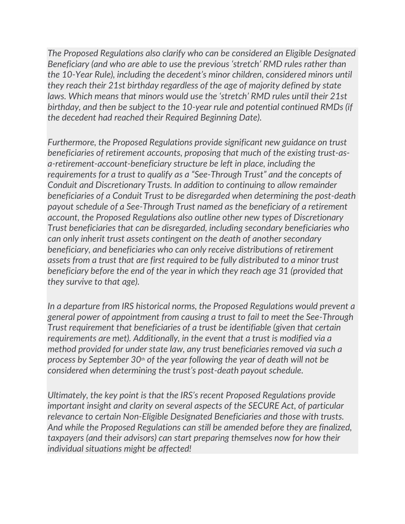*The Proposed Regulations also clarify who can be considered an Eligible Designated Beneficiary (and who are able to use the previous 'stretch' RMD rules rather than the 10-Year Rule), including the decedent's minor children, considered minors until they reach their 21st birthday regardless of the age of majority defined by state laws. Which means that minors would use the 'stretch' RMD rules until their 21st birthday, and then be subject to the 10-year rule and potential continued RMDs (if the decedent had reached their Required Beginning Date).*

*Furthermore, the Proposed Regulations provide significant new guidance on trust beneficiaries of retirement accounts, proposing that much of the existing trust-asa-retirement-account-beneficiary structure be left in place, including the requirements for a trust to qualify as a "See-Through Trust" and the concepts of Conduit and Discretionary Trusts. In addition to continuing to allow remainder beneficiaries of a Conduit Trust to be disregarded when determining the post-death payout schedule of a See-Through Trust named as the beneficiary of a retirement account, the Proposed Regulations also outline other new types of Discretionary Trust beneficiaries that can be disregarded, including secondary beneficiaries who can only inherit trust assets contingent on the death of another secondary beneficiary, and beneficiaries who can only receive distributions of retirement assets from a trust that are first required to be fully distributed to a minor trust beneficiary before the end of the year in which they reach age 31 (provided that they survive to that age).*

*In a departure from IRS historical norms, the Proposed Regulations would prevent a general power of appointment from causing a trust to fail to meet the See-Through Trust requirement that beneficiaries of a trust be identifiable (given that certain requirements are met). Additionally, in the event that a trust is modified via a method provided for under state law, any trust beneficiaries removed via such a process by September 30th of the year following the year of death will not be considered when determining the trust's post-death payout schedule.*

*Ultimately, the key point is that the IRS's recent Proposed Regulations provide important insight and clarity on several aspects of the SECURE Act, of particular relevance to certain Non-Eligible Designated Beneficiaries and those with trusts. And while the Proposed Regulations can still be amended before they are finalized, taxpayers (and their advisors) can start preparing themselves now for how their individual situations might be affected!*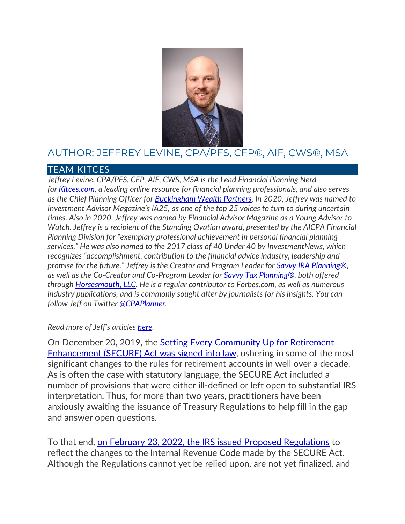

### AUTHOR: JEFFREY LEVINE, CPA/PFS, CFP®, AIF, CWS®, MSA

#### TEAM KITCES

Jeffrey Levine, CPA/PFS, CFP, AIF, CWS, MSA is the Lead Financial Planning Nerd *for [Kitces.com,](https://www.kitces.com/) a leading online resource for financial planning professionals, and also serves as the Chief Planning Officer for [Buckingham Wealth Partners.](https://buckinghamstrategicwealth.com/?utm_source=Kitces&utm_medium=KitcesReferral&utm_campaign=LevineBio&utm_id=Kitces) In 2020, Jeffrey was named to Investment Advisor Magazine's IA25, as one of the top 25 voices to turn to during uncertain times. Also in 2020, Jeffrey was named by Financial Advisor Magazine as a Young Advisor to Watch. Jeffrey is a recipient of the Standing Ovation award, presented by the AICPA Financial Planning Division for "exemplary professional achievement in personal financial planning services." He was also named to the 2017 class of 40 Under 40 by InvestmentNews, which recognizes "accomplishment, contribution to the financial advice industry, leadership and promise for the future." Jeffrey is the Creator and Program Leader for [Savvy IRA Planning®,](https://www.savvyira.com/) as well as the Co-Creator and Co-Program Leader for Savvy Tax [Planning®,](https://www.savvytaxplanning.com/) both offered through [Horsesmouth, LLC.](https://public.horsesmouth.com/) He is a regular contributor to Forbes.com, as well as numerous industry publications, and is commonly sought after by journalists for his insights. You can follow Jeff on Twitter [@CPAPlanner.](https://twitter.com/CPAPlanner)*

#### *Read more of Jeff's articles [here.](https://www.kitces.com/?s=&s=&by-author=3906&by-category=&from-date=&to-date=&submit=)*

On December 20, 2019, the [Setting Every Community Up for Retirement](https://www.kitces.com/blog/secure-act-2019-stretch-ira-rmd-effective-date-mep-auto-enrollment/)  [Enhancement \(SECURE\) Act was signed into law,](https://www.kitces.com/blog/secure-act-2019-stretch-ira-rmd-effective-date-mep-auto-enrollment/) ushering in some of the most significant changes to the rules for retirement accounts in well over a decade. As is often the case with statutory language, the SECURE Act included a number of provisions that were either ill-defined or left open to substantial IRS interpretation. Thus, for more than two years, practitioners have been anxiously awaiting the issuance of Treasury Regulations to help fill in the gap and answer open questions.

To that end, [on February 23, 2022, the IRS issued Proposed Regulations](https://public-inspection.federalregister.gov/2022-02522.pdf) to reflect the changes to the Internal Revenue Code made by the SECURE Act. Although the Regulations cannot yet be relied upon, are not yet finalized, and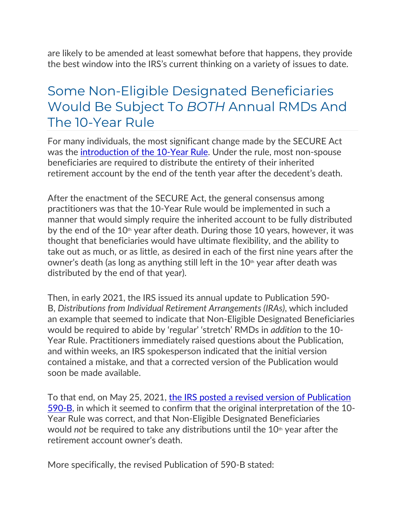are likely to be amended at least somewhat before that happens, they provide the best window into the IRS's current thinking on a variety of issues to date.

## Some Non-Eligible Designated Beneficiaries Would Be Subject To *BOTH* Annual RMDs And The 10-Year Rule

For many individuals, the most significant change made by the SECURE Act was the [introduction of the 10-Year Rule.](https://www.kitces.com/blog/secure-act-stretch-ira-401k-elimination-eligible-designated-beneficiary-retirement-accounts-taxes/) Under the rule, most non-spouse beneficiaries are required to distribute the entirety of their inherited retirement account by the end of the tenth year after the decedent's death.

After the enactment of the SECURE Act, the general consensus among practitioners was that the 10-Year Rule would be implemented in such a manner that would simply require the inherited account to be fully distributed by the end of the  $10<sup>th</sup>$  year after death. During those 10 years, however, it was thought that beneficiaries would have ultimate flexibility, and the ability to take out as much, or as little, as desired in each of the first nine years after the owner's death (as long as anything still left in the  $10<sup>th</sup>$  year after death was distributed by the end of that year).

Then, in early 2021, the IRS issued its annual update to Publication 590- B, *Distributions from Individual Retirement Arrangements (IRAs)*, which included an example that seemed to indicate that Non-Eligible Designated Beneficiaries would be required to abide by 'regular' 'stretch' RMDs in *addition* to the 10- Year Rule. Practitioners immediately raised questions about the Publication, and within weeks, an IRS spokesperson indicated that the initial version contained a mistake, and that a corrected version of the Publication would soon be made available.

To that end, on May 25, 2021, the IRS posted a revised version of Publication [590-B,](https://www.irs.gov/pub/irs-prior/p590b--2020.pdf) in which it seemed to confirm that the original interpretation of the 10- Year Rule was correct, and that Non-Eligible Designated Beneficiaries would *not* be required to take any distributions until the 10<sup>th</sup> year after the retirement account owner's death.

More specifically, the revised Publication of 590-B stated: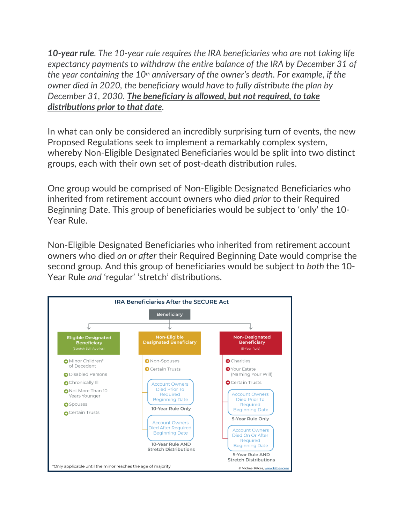*10-year rule. The 10-year rule requires the IRA beneficiaries who are not taking life expectancy payments to withdraw the entire balance of the IRA by December 31 of the year containing the 10th anniversary of the owner's death. For example, if the owner died in 2020, the beneficiary would have to fully distribute the plan by December 31, 2030. The beneficiary is allowed, but not required, to take distributions prior to that date.*

In what can only be considered an incredibly surprising turn of events, the new Proposed Regulations seek to implement a remarkably complex system, whereby Non-Eligible Designated Beneficiaries would be split into two distinct groups, each with their own set of post-death distribution rules.

One group would be comprised of Non-Eligible Designated Beneficiaries who inherited from retirement account owners who died *prior* to their Required Beginning Date. This group of beneficiaries would be subject to 'only' the 10- Year Rule.

Non-Eligible Designated Beneficiaries who inherited from retirement account owners who died *on or after* their Required Beginning Date would comprise the second group. And this group of beneficiaries would be subject to *both* the 10- Year Rule *and* 'regular' 'stretch' distributions.

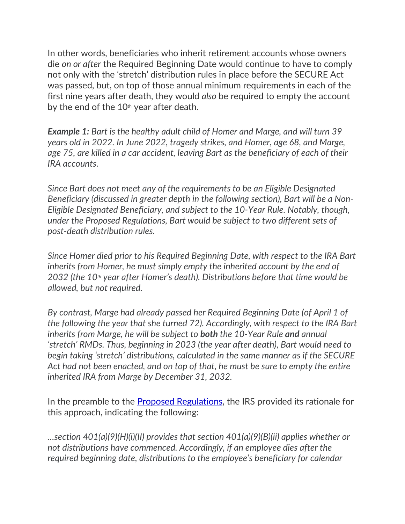In other words, beneficiaries who inherit retirement accounts whose owners die *on or after* the Required Beginning Date would continue to have to comply not only with the 'stretch' distribution rules in place before the SECURE Act was passed, but, on top of those annual minimum requirements in each of the first nine years after death, they would *also* be required to empty the account by the end of the  $10<sup>th</sup>$  year after death.

*Example 1: Bart is the healthy adult child of Homer and Marge, and will turn 39 years old in 2022. In June 2022, tragedy strikes, and Homer, age 68, and Marge, age 75, are killed in a car accident, leaving Bart as the beneficiary of each of their IRA accounts.*

*Since Bart does not meet any of the requirements to be an Eligible Designated Beneficiary (discussed in greater depth in the following section), Bart will be a Non-Eligible Designated Beneficiary, and subject to the 10-Year Rule. Notably, though, under the Proposed Regulations, Bart would be subject to two different sets of post-death distribution rules.*

*Since Homer died prior to his Required Beginning Date, with respect to the IRA Bart inherits from Homer, he must simply empty the inherited account by the end of 2032 (the 10th year after Homer's death). Distributions before that time would be allowed, but not required.*

*By contrast, Marge had already passed her Required Beginning Date (of April 1 of the following the year that she turned 72). Accordingly, with respect to the IRA Bart inherits from Marge, he will be subject to both the 10-Year Rule and annual 'stretch' RMDs. Thus, beginning in 2023 (the year after death), Bart would need to begin taking 'stretch' distributions, calculated in the same manner as if the SECURE Act had not been enacted, and on top of that, he must be sure to empty the entire inherited IRA from Marge by December 31, 2032.*

In the preamble to the [Proposed Regulations,](https://public-inspection.federalregister.gov/2022-02522.pdf) the IRS provided its rationale for this approach, indicating the following:

*…section 401(a)(9)(H)(i)(II) provides that section 401(a)(9)(B)(ii) applies whether or not distributions have commenced. Accordingly, if an employee dies after the required beginning date, distributions to the employee's beneficiary for calendar*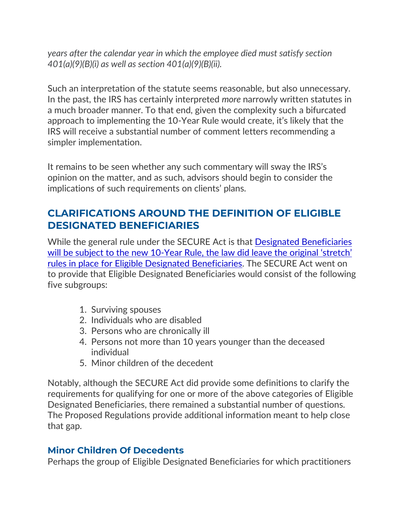*years after the calendar year in which the employee died must satisfy section 401(a)(9)(B)(i) as well as section 401(a)(9)(B)(ii).*

Such an interpretation of the statute seems reasonable, but also unnecessary. In the past, the IRS has certainly interpreted *more* narrowly written statutes in a much broader manner. To that end, given the complexity such a bifurcated approach to implementing the 10-Year Rule would create, it's likely that the IRS will receive a substantial number of comment letters recommending a simpler implementation.

It remains to be seen whether any such commentary will sway the IRS's opinion on the matter, and as such, advisors should begin to consider the implications of such requirements on clients' plans.

### **CLARIFICATIONS AROUND THE DEFINITION OF ELIGIBLE DESIGNATED BENEFICIARIES**

While the general rule under the SECURE Act is that [Designated Beneficiaries](https://www.kitces.com/blog/secure-act-stretch-ira-401k-elimination-eligible-designated-beneficiary-retirement-accounts-taxes/)  will be subject to the new 10-Year Rule, the law did leave the original 'stretch' [rules in place for Eligible Designated Beneficiaries.](https://www.kitces.com/blog/secure-act-stretch-ira-401k-elimination-eligible-designated-beneficiary-retirement-accounts-taxes/) The SECURE Act went on to provide that Eligible Designated Beneficiaries would consist of the following five subgroups:

- 1. Surviving spouses
- 2. Individuals who are disabled
- 3. Persons who are chronically ill
- 4. Persons not more than 10 years younger than the deceased individual
- 5. Minor children of the decedent

Notably, although the SECURE Act did provide some definitions to clarify the requirements for qualifying for one or more of the above categories of Eligible Designated Beneficiaries, there remained a substantial number of questions. The Proposed Regulations provide additional information meant to help close that gap.

### **Minor Children Of Decedents**

Perhaps the group of Eligible Designated Beneficiaries for which practitioners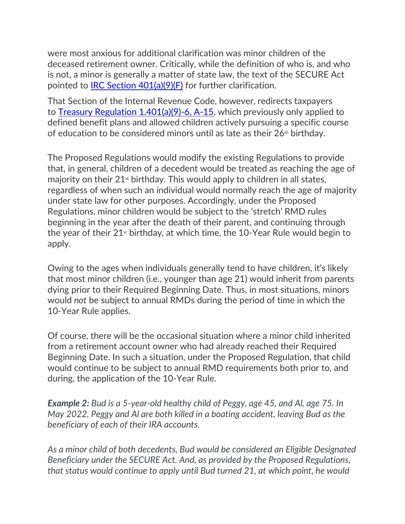were most anxious for additional clarification was minor children of the deceased retirement owner. Critically, while the definition of who is, and who is not, a minor is generally a matter of state law, the text of the SECURE Act pointed to [IRC Section 401\(a\)\(9\)\(F\)](https://www.law.cornell.edu/uscode/text/26/401) for further clarification.

That Section of the Internal Revenue Code, however, redirects taxpayers to [Treasury Regulation 1.401\(a\)\(9\)-6, A-15,](https://www.law.cornell.edu/cfr/text/26/1.401(a)(9)-6) which previously only applied to defined benefit plans and allowed children actively pursuing a specific course of education to be considered minors until as late as their 26<sup>th</sup> birthday.

The Proposed Regulations would modify the existing Regulations to provide that, in general, children of a decedent would be treated as reaching the age of majority on their  $21<sup>st</sup>$  birthday. This would apply to children in all states, regardless of when such an individual would normally reach the age of majority under state law for other purposes. Accordingly, under the Proposed Regulations, minor children would be subject to the 'stretch' RMD rules beginning in the year after the death of their parent, and continuing through the year of their  $21<sup>st</sup>$  birthday, at which time, the 10-Year Rule would begin to apply.

Owing to the ages when individuals generally tend to have children, it's likely that most minor children (i.e., younger than age 21) would inherit from parents dying prior to their Required Beginning Date. Thus, in most situations, minors would *not* be subject to annual RMDs during the period of time in which the 10-Year Rule applies.

Of course, there will be the occasional situation where a minor child inherited from a retirement account owner who had already reached their Required Beginning Date. In such a situation, under the Proposed Regulation, that child would continue to be subject to annual RMD requirements both prior to, and during, the application of the 10-Year Rule.

*Example 2: Bud is a 5-year-old healthy child of Peggy, age 45, and Al, age 75. In May 2022, Peggy and Al are both killed in a boating accident, leaving Bud as the beneficiary of each of their IRA accounts.*

*As a minor child of both decedents, Bud would be considered an Eligible Designated Beneficiary under the SECURE Act. And, as provided by the Proposed Regulations, that status would continue to apply until Bud turned 21, at which point, he would*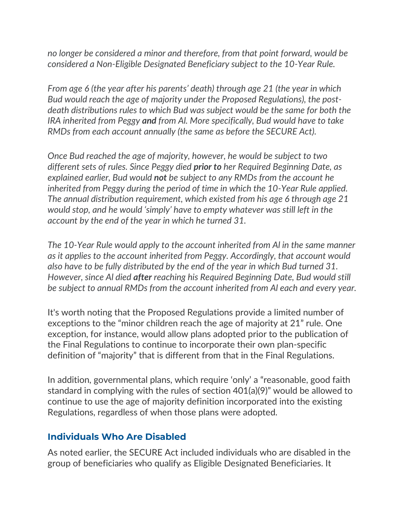*no longer be considered a minor and therefore, from that point forward, would be considered a Non-Eligible Designated Beneficiary subject to the 10-Year Rule.*

*From age 6 (the year after his parents' death) through age 21 (the year in which Bud would reach the age of majority under the Proposed Regulations), the postdeath distributions rules to which Bud was subject would be the same for both the IRA inherited from Peggy and from Al. More specifically, Bud would have to take RMDs from each account annually (the same as before the SECURE Act).*

*Once Bud reached the age of majority, however, he would be subject to two different sets of rules. Since Peggy died prior to her Required Beginning Date, as explained earlier, Bud would not be subject to any RMDs from the account he inherited from Peggy during the period of time in which the 10-Year Rule applied. The annual distribution requirement, which existed from his age 6 through age 21 would stop, and he would 'simply' have to empty whatever was still left in the account by the end of the year in which he turned 31.*

*The 10-Year Rule would apply to the account inherited from Al in the same manner as it applies to the account inherited from Peggy. Accordingly, that account would also have to be fully distributed by the end of the year in which Bud turned 31. However, since Al died after reaching his Required Beginning Date, Bud would still be subject to annual RMDs from the account inherited from Al each and every year.*

It's worth noting that the Proposed Regulations provide a limited number of exceptions to the "minor children reach the age of majority at 21" rule. One exception, for instance, would allow plans adopted prior to the publication of the Final Regulations to continue to incorporate their own plan-specific definition of "majority" that is different from that in the Final Regulations.

In addition, governmental plans, which require 'only' a "reasonable, good faith standard in complying with the rules of section 401(a)(9)" would be allowed to continue to use the age of majority definition incorporated into the existing Regulations, regardless of when those plans were adopted.

#### **Individuals Who Are Disabled**

As noted earlier, the SECURE Act included individuals who are disabled in the group of beneficiaries who qualify as Eligible Designated Beneficiaries. It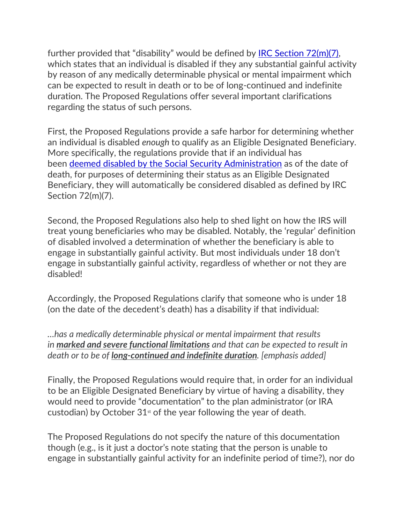further provided that "disability" would be defined by [IRC Section 72\(m\)\(7\),](https://www.law.cornell.edu/uscode/text/26/72) which states that an individual is disabled if they any substantial gainful activity by reason of any medically determinable physical or mental impairment which can be expected to result in death or to be of long-continued and indefinite duration. The Proposed Regulations offer several important clarifications regarding the status of such persons.

First, the Proposed Regulations provide a safe harbor for determining whether an individual is disabled *enough* to qualify as an Eligible Designated Beneficiary. More specifically, the regulations provide that if an individual has been [deemed disabled by the Social Security Administration](https://www.ssa.gov/disability/professionals/bluebook/index.htm) as of the date of death, for purposes of determining their status as an Eligible Designated Beneficiary, they will automatically be considered disabled as defined by IRC Section 72(m)(7).

Second, the Proposed Regulations also help to shed light on how the IRS will treat young beneficiaries who may be disabled. Notably, the 'regular' definition of disabled involved a determination of whether the beneficiary is able to engage in substantially gainful activity. But most individuals under 18 don't engage in substantially gainful activity, regardless of whether or not they are disabled!

Accordingly, the Proposed Regulations clarify that someone who is under 18 (on the date of the decedent's death) has a disability if that individual:

*…has a medically determinable physical or mental impairment that results in marked and severe functional limitations and that can be expected to result in death or to be of long-continued and indefinite duration. [emphasis added]*

Finally, the Proposed Regulations would require that, in order for an individual to be an Eligible Designated Beneficiary by virtue of having a disability, they would need to provide "documentation" to the plan administrator (or IRA custodian) by October  $31<sup>st</sup>$  of the year following the year of death.

The Proposed Regulations do not specify the nature of this documentation though (e.g., is it just a doctor's note stating that the person is unable to engage in substantially gainful activity for an indefinite period of time?), nor do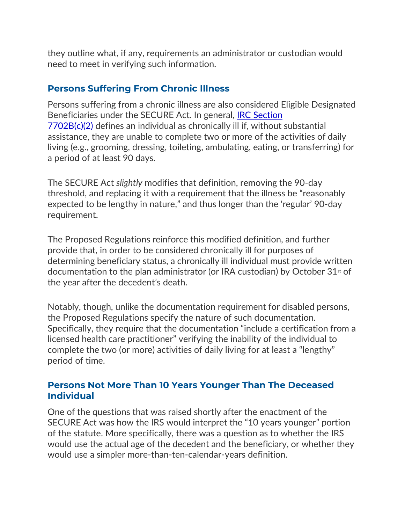they outline what, if any, requirements an administrator or custodian would need to meet in verifying such information.

#### **Persons Suffering From Chronic Illness**

Persons suffering from a chronic illness are also considered Eligible Designated Beneficiaries under the SECURE Act. In general, [IRC Section](https://www.law.cornell.edu/uscode/text/26/7702B)  [7702B\(c\)\(2\)](https://www.law.cornell.edu/uscode/text/26/7702B) defines an individual as chronically ill if, without substantial assistance, they are unable to complete two or more of the activities of daily living (e.g., grooming, dressing, toileting, ambulating, eating, or transferring) for a period of at least 90 days.

The SECURE Act *slightly* modifies that definition, removing the 90-day threshold, and replacing it with a requirement that the illness be "reasonably expected to be lengthy in nature," and thus longer than the 'regular' 90-day requirement.

The Proposed Regulations reinforce this modified definition, and further provide that, in order to be considered chronically ill for purposes of determining beneficiary status, a chronically ill individual must provide written documentation to the plan administrator (or IRA custodian) by October  $31<sup>st</sup>$  of the year after the decedent's death.

Notably, though, unlike the documentation requirement for disabled persons, the Proposed Regulations specify the nature of such documentation. Specifically, they require that the documentation "include a certification from a licensed health care practitioner" verifying the inability of the individual to complete the two (or more) activities of daily living for at least a "lengthy" period of time.

#### **Persons Not More Than 10 Years Younger Than The Deceased Individual**

One of the questions that was raised shortly after the enactment of the SECURE Act was how the IRS would interpret the "10 years younger" portion of the statute. More specifically, there was a question as to whether the IRS would use the actual age of the decedent and the beneficiary, or whether they would use a simpler more-than-ten-calendar-years definition.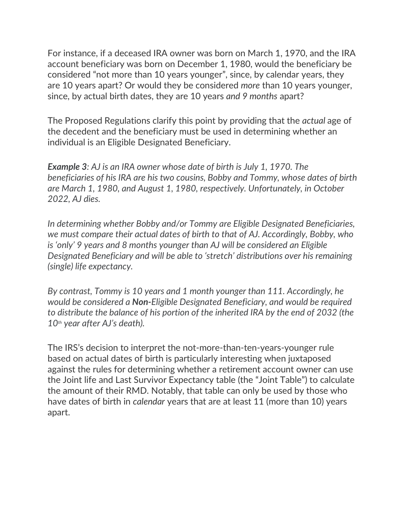For instance, if a deceased IRA owner was born on March 1, 1970, and the IRA account beneficiary was born on December 1, 1980, would the beneficiary be considered "not more than 10 years younger", since, by calendar years, they are 10 years apart? Or would they be considered *more* than 10 years younger, since, by actual birth dates, they are 10 years *and 9 months* apart?

The Proposed Regulations clarify this point by providing that the *actual* age of the decedent and the beneficiary must be used in determining whether an individual is an Eligible Designated Beneficiary.

*Example 3: AJ is an IRA owner whose date of birth is July 1, 1970. The beneficiaries of his IRA are his two cousins, Bobby and Tommy, whose dates of birth are March 1, 1980, and August 1, 1980, respectively. Unfortunately, in October 2022, AJ dies.*

*In determining whether Bobby and/or Tommy are Eligible Designated Beneficiaries, we must compare their actual dates of birth to that of AJ. Accordingly, Bobby, who is 'only' 9 years and 8 months younger than AJ will be considered an Eligible Designated Beneficiary and will be able to 'stretch' distributions over his remaining (single) life expectancy.*

*By contrast, Tommy is 10 years and 1 month younger than 111. Accordingly, he would be considered a Non-Eligible Designated Beneficiary, and would be required to distribute the balance of his portion of the inherited IRA by the end of 2032 (the 10th year after AJ's death).*

The IRS's decision to interpret the not-more-than-ten-years-younger rule based on actual dates of birth is particularly interesting when juxtaposed against the rules for determining whether a retirement account owner can use the Joint life and Last Survivor Expectancy table (the "Joint Table") to calculate the amount of their RMD. Notably, that table can only be used by those who have dates of birth in *calendar* years that are at least 11 (more than 10) years apart.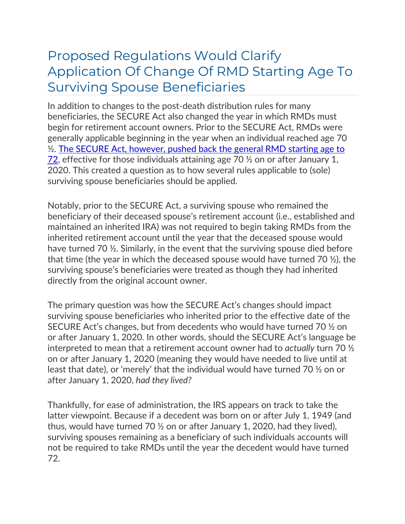## Proposed Regulations Would Clarify Application Of Change Of RMD Starting Age To Surviving Spouse Beneficiaries

In addition to changes to the post-death distribution rules for many beneficiaries, the SECURE Act also changed the year in which RMDs must begin for retirement account owners. Prior to the SECURE Act, RMDs were generally applicable beginning in the year when an individual reached age 70 ½. [The SECURE Act, however, pushed back the general RMD starting age to](https://www.kitces.com/blog/secure-act-age-72-required-minimum-distribution-rmd-age-70-1-2-qcd-2020/)   $\overline{72}$ , effective for those individuals attaining age 70  $\frac{1}{2}$  on or after January 1, 2020. This created a question as to how several rules applicable to (sole) surviving spouse beneficiaries should be applied.

Notably, prior to the SECURE Act, a surviving spouse who remained the beneficiary of their deceased spouse's retirement account (i.e., established and maintained an inherited IRA) was not required to begin taking RMDs from the inherited retirement account until the year that the deceased spouse would have turned 70 ½. Similarly, in the event that the surviving spouse died before that time (the year in which the deceased spouse would have turned 70 ½), the surviving spouse's beneficiaries were treated as though they had inherited directly from the original account owner.

The primary question was how the SECURE Act's changes should impact surviving spouse beneficiaries who inherited prior to the effective date of the SECURE Act's changes, but from decedents who would have turned 70 ½ on or after January 1, 2020. In other words, should the SECURE Act's language be interpreted to mean that a retirement account owner had to *actually* turn 70 ½ on or after January 1, 2020 (meaning they would have needed to live until at least that date), or 'merely' that the individual would have turned 70 ½ on or after January 1, 2020, *had they lived?*

Thankfully, for ease of administration, the IRS appears on track to take the latter viewpoint. Because if a decedent was born on or after July 1, 1949 (and thus, would have turned 70 ½ on or after January 1, 2020, had they lived), surviving spouses remaining as a beneficiary of such individuals accounts will not be required to take RMDs until the year the decedent would have turned 72.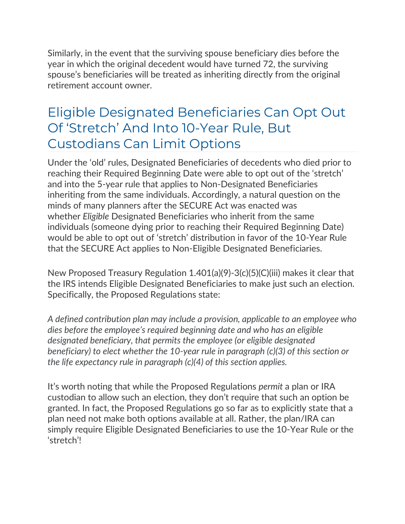Similarly, in the event that the surviving spouse beneficiary dies before the year in which the original decedent would have turned 72, the surviving spouse's beneficiaries will be treated as inheriting directly from the original retirement account owner.

## Eligible Designated Beneficiaries Can Opt Out Of 'Stretch' And Into 10-Year Rule, But Custodians Can Limit Options

Under the 'old' rules, Designated Beneficiaries of decedents who died prior to reaching their Required Beginning Date were able to opt out of the 'stretch' and into the 5-year rule that applies to Non-Designated Beneficiaries inheriting from the same individuals. Accordingly, a natural question on the minds of many planners after the SECURE Act was enacted was whether *Eligible* Designated Beneficiaries who inherit from the same individuals (someone dying prior to reaching their Required Beginning Date) would be able to opt out of 'stretch' distribution in favor of the 10-Year Rule that the SECURE Act applies to Non-Eligible Designated Beneficiaries.

New Proposed Treasury Regulation 1.401(a)(9)-3(c)(5)(C)(iii) makes it clear that the IRS intends Eligible Designated Beneficiaries to make just such an election. Specifically, the Proposed Regulations state:

*A defined contribution plan may include a provision, applicable to an employee who dies before the employee's required beginning date and who has an eligible designated beneficiary, that permits the employee (or eligible designated beneficiary) to elect whether the 10-year rule in paragraph (c)(3) of this section or the life expectancy rule in paragraph (c)(4) of this section applies.*

It's worth noting that while the Proposed Regulations *permit* a plan or IRA custodian to allow such an election, they don't require that such an option be granted. In fact, the Proposed Regulations go so far as to explicitly state that a plan need not make both options available at all. Rather, the plan/IRA can simply require Eligible Designated Beneficiaries to use the 10-Year Rule or the 'stretch'!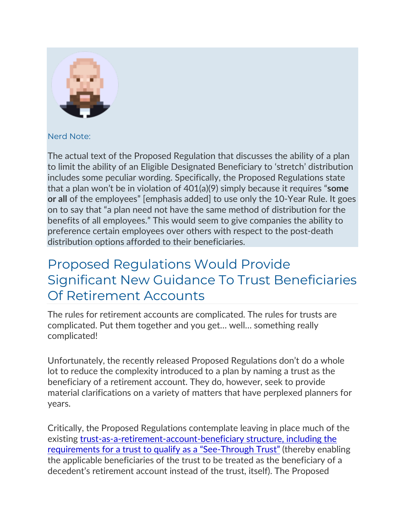

Nerd Note:

The actual text of the Proposed Regulation that discusses the ability of a plan to limit the ability of an Eligible Designated Beneficiary to 'stretch' distribution includes some peculiar wording. Specifically, the Proposed Regulations state that a plan won't be in violation of 401(a)(9) simply because it requires "**some or all** of the employees" [emphasis added] to use only the 10-Year Rule. It goes on to say that "a plan need not have the same method of distribution for the benefits of all employees." This would seem to give companies the ability to preference certain employees over others with respect to the post-death distribution options afforded to their beneficiaries.

## Proposed Regulations Would Provide Significant New Guidance To Trust Beneficiaries Of Retirement Accounts

The rules for retirement accounts are complicated. The rules for trusts are complicated. Put them together and you get… well… something really complicated!

Unfortunately, the recently released Proposed Regulations don't do a whole lot to reduce the complexity introduced to a plan by naming a trust as the beneficiary of a retirement account. They do, however, seek to provide material clarifications on a variety of matters that have perplexed planners for years.

Critically, the Proposed Regulations contemplate leaving in place much of the existing [trust-as-a-retirement-account-beneficiary structure, including the](https://www.kitces.com/blog/discretionary-see-through-trusts-accumulation-secure-act-designated-beneficiary-mbt-guidelines/)  [requirements for a trust to qualify as a "See](https://www.kitces.com/blog/discretionary-see-through-trusts-accumulation-secure-act-designated-beneficiary-mbt-guidelines/)-Through Trust" (thereby enabling the applicable beneficiaries of the trust to be treated as the beneficiary of a decedent's retirement account instead of the trust, itself). The Proposed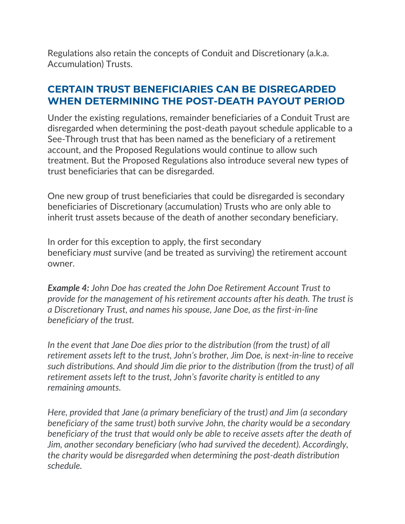Regulations also retain the concepts of Conduit and Discretionary (a.k.a. Accumulation) Trusts.

### **CERTAIN TRUST BENEFICIARIES CAN BE DISREGARDED WHEN DETERMINING THE POST-DEATH PAYOUT PERIOD**

Under the existing regulations, remainder beneficiaries of a Conduit Trust are disregarded when determining the post-death payout schedule applicable to a See-Through trust that has been named as the beneficiary of a retirement account, and the Proposed Regulations would continue to allow such treatment. But the Proposed Regulations also introduce several new types of trust beneficiaries that can be disregarded.

One new group of trust beneficiaries that could be disregarded is secondary beneficiaries of Discretionary (accumulation) Trusts who are only able to inherit trust assets because of the death of another secondary beneficiary.

In order for this exception to apply, the first secondary beneficiary *must* survive (and be treated as surviving) the retirement account owner.

*Example 4: John Doe has created the John Doe Retirement Account Trust to provide for the management of his retirement accounts after his death. The trust is a Discretionary Trust, and names his spouse, Jane Doe, as the first-in-line beneficiary of the trust.*

*In the event that Jane Doe dies prior to the distribution (from the trust) of all retirement assets left to the trust, John's brother, Jim Doe, is next-in-line to receive such distributions. And should Jim die prior to the distribution (from the trust) of all retirement assets left to the trust, John's favorite charity is entitled to any remaining amounts.*

*Here, provided that Jane (a primary beneficiary of the trust) and Jim (a secondary beneficiary of the same trust) both survive John, the charity would be a secondary beneficiary of the trust that would only be able to receive assets after the death of Jim, another secondary beneficiary (who had survived the decedent). Accordingly, the charity would be disregarded when determining the post-death distribution schedule.*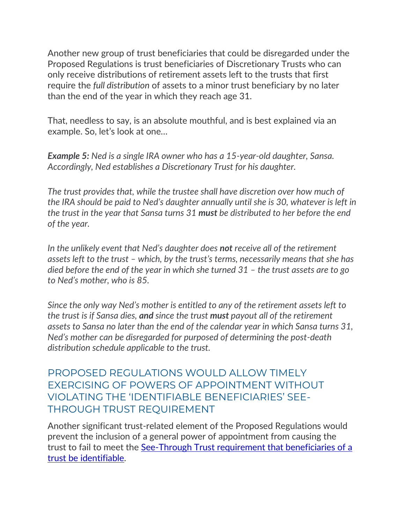Another new group of trust beneficiaries that could be disregarded under the Proposed Regulations is trust beneficiaries of Discretionary Trusts who can only receive distributions of retirement assets left to the trusts that first require the *full distribution* of assets to a minor trust beneficiary by no later than the end of the year in which they reach age 31.

That, needless to say, is an absolute mouthful, and is best explained via an example. So, let's look at one…

*Example 5: Ned is a single IRA owner who has a 15-year-old daughter, Sansa. Accordingly, Ned establishes a Discretionary Trust for his daughter.*

*The trust provides that, while the trustee shall have discretion over how much of the IRA should be paid to Ned's daughter annually until she is 30, whatever is left in the trust in the year that Sansa turns 31 must be distributed to her before the end of the year.*

*In the unlikely event that Ned's daughter does not receive all of the retirement assets left to the trust – which, by the trust's terms, necessarily means that she has died before the end of the year in which she turned 31 – the trust assets are to go to Ned's mother, who is 85.*

*Since the only way Ned's mother is entitled to any of the retirement assets left to the trust is if Sansa dies, and since the trust must payout all of the retirement assets to Sansa no later than the end of the calendar year in which Sansa turns 31, Ned's mother can be disregarded for purposed of determining the post-death distribution schedule applicable to the trust.*

PROPOSED REGULATIONS WOULD ALLOW TIMELY EXERCISING OF POWERS OF APPOINTMENT WITHOUT VIOLATING THE 'IDENTIFIABLE BENEFICIARIES' SEE-THROUGH TRUST REQUIREMENT

Another significant trust-related element of the Proposed Regulations would prevent the inclusion of a general power of appointment from causing the trust to fail to meet the [See-Through Trust requirement that beneficiaries of a](https://www.kitces.com/blog/qualifying-a-see-through-trust-as-an-ira-designated-beneficiary-conduit-or-accumulation/)  [trust be identifiable.](https://www.kitces.com/blog/qualifying-a-see-through-trust-as-an-ira-designated-beneficiary-conduit-or-accumulation/)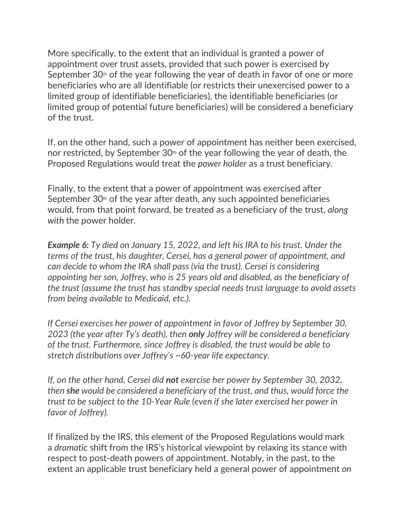More specifically, to the extent that an individual is granted a power of appointment over trust assets, provided that such power is exercised by September  $30<sup>th</sup>$  of the year following the year of death in favor of one or more beneficiaries who are all identifiable (or restricts their unexercised power to a limited group of identifiable beneficiaries), the identifiable beneficiaries (or limited group of potential future beneficiaries) will be considered a beneficiary of the trust.

If, on the other hand, such a power of appointment has neither been exercised, nor restricted, by September  $30<sup>th</sup>$  of the year following the year of death, the Proposed Regulations would treat the *power holder* as a trust beneficiary.

Finally, to the extent that a power of appointment was exercised after September  $30<sup>th</sup>$  of the year after death, any such appointed beneficiaries would, from that point forward, be treated as a beneficiary of the trust, *along with* the power holder.

*Example 6: Ty died on January 15, 2022, and left his IRA to his trust. Under the terms of the trust, his daughter, Cersei, has a general power of appointment, and can decide to whom the IRA shall pass (via the trust). Cersei is considering appointing her son, Joffrey, who is 25 years old and disabled, as the beneficiary of the trust (assume the trust has standby special needs trust language to avoid assets from being available to Medicaid, etc.).*

*If Cersei exercises her power of appointment in favor of Joffrey by September 30, 2023 (the year after Ty's death), then only Joffrey will be considered a beneficiary of the trust. Furthermore, since Joffrey is disabled, the trust would be able to stretch distributions over Joffrey's ~60-year life expectancy.*

*If, on the other hand, Cersei did not exercise her power by September 30, 2032, then she would be considered a beneficiary of the trust, and thus, would force the trust to be subject to the 10-Year Rule (even if she later exercised her power in favor of Joffrey).*

If finalized by the IRS, this element of the Proposed Regulations would mark a *dramatic* shift from the IRS's historical viewpoint by relaxing its stance with respect to post-death powers of appointment. Notably, in the past, to the extent an applicable trust beneficiary held a general power of appointment *on*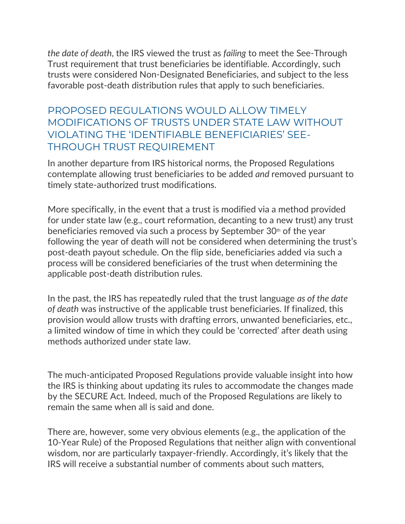*the date of death*, the IRS viewed the trust as *failing* to meet the See-Through Trust requirement that trust beneficiaries be identifiable. Accordingly, such trusts were considered Non-Designated Beneficiaries, and subject to the less favorable post-death distribution rules that apply to such beneficiaries.

PROPOSED REGULATIONS WOULD ALLOW TIMELY MODIFICATIONS OF TRUSTS UNDER STATE LAW WITHOUT VIOLATING THE 'IDENTIFIABLE BENEFICIARIES' SEE-THROUGH TRUST REQUIREMENT

In another departure from IRS historical norms, the Proposed Regulations contemplate allowing trust beneficiaries to be added *and* removed pursuant to timely state-authorized trust modifications.

More specifically, in the event that a trust is modified via a method provided for under state law (e.g., court reformation, decanting to a new trust) any trust beneficiaries removed via such a process by September  $30<sup>th</sup>$  of the year following the year of death will not be considered when determining the trust's post-death payout schedule. On the flip side, beneficiaries added via such a process will be considered beneficiaries of the trust when determining the applicable post-death distribution rules.

In the past, the IRS has repeatedly ruled that the trust language *as of the date of death* was instructive of the applicable trust beneficiaries. If finalized, this provision would allow trusts with drafting errors, unwanted beneficiaries, etc., a limited window of time in which they could be 'corrected' after death using methods authorized under state law.

The much-anticipated Proposed Regulations provide valuable insight into how the IRS is thinking about updating its rules to accommodate the changes made by the SECURE Act. Indeed, much of the Proposed Regulations are likely to remain the same when all is said and done.

There are, however, some very obvious elements (e.g., the application of the 10-Year Rule) of the Proposed Regulations that neither align with conventional wisdom, nor are particularly taxpayer-friendly. Accordingly, it's likely that the IRS will receive a substantial number of comments about such matters,